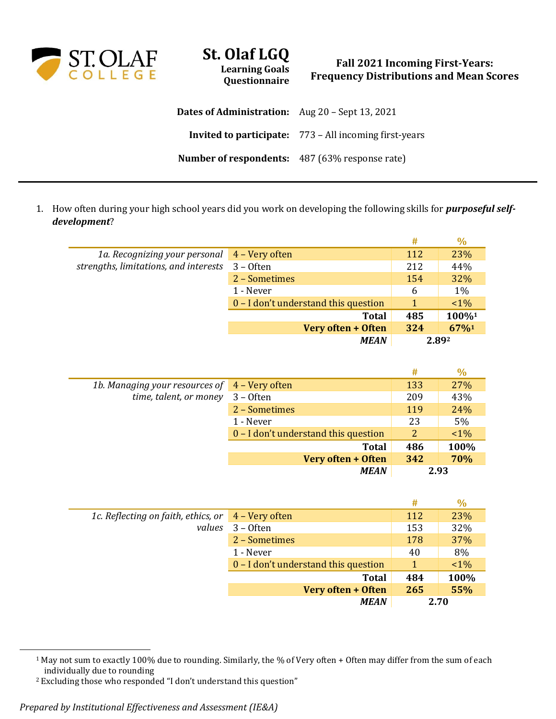

## **St. Olaf LGQ Learning Goals Questionnaire**

## **Fall 2021 Incoming First-Years: Frequency Distributions and Mean Scores**

| <b>Dates of Administration:</b> Aug 20 – Sept 13, 2021 |                                                               |
|--------------------------------------------------------|---------------------------------------------------------------|
|                                                        | <b>Invited to participate:</b> 773 – All incoming first-years |
| <b>Number of respondents:</b> 487 (63% response rate)  |                                                               |

1. How often during your high school years did you work on developing the following skills for *purposeful selfdevelopment*?

|                                       |                                      | #   | $\frac{0}{0}$ |
|---------------------------------------|--------------------------------------|-----|---------------|
| 1a. Recognizing your personal         | 4 – Very often                       | 112 | 23%           |
| strengths, limitations, and interests | $3 -$ Often                          | 212 | 44%           |
|                                       | 2 - Sometimes                        | 154 | 32%           |
|                                       | 1 - Never                            | 6   | 1%            |
|                                       | 0 – I don't understand this question |     | $1\%$         |
|                                       | <b>Total</b>                         | 485 | 100%1         |
|                                       | Very often + Often                   | 324 | 67%1          |
|                                       | <b>MEAN</b>                          |     | 2.892         |

|                                               |                                      | #   | $\frac{0}{0}$ |
|-----------------------------------------------|--------------------------------------|-----|---------------|
| 1b. Managing your resources of 4 – Very often |                                      | 133 | 27%           |
| time, talent, or money                        | $3 -$ Often                          | 209 | 43%           |
|                                               | 2 - Sometimes                        | 119 | 24%           |
|                                               | 1 - Never                            | 23  | 5%            |
|                                               | 0 – I don't understand this question | 2   | $1\%$         |
|                                               | <b>Total</b>                         | 486 | 100%          |
|                                               | Very often + Often                   | 342 | 70%           |
|                                               | <b>MEAN</b>                          |     | 2.93          |

|                                                                          |                                      | #    | $\%$  |
|--------------------------------------------------------------------------|--------------------------------------|------|-------|
| 1c. Reflecting on faith, ethics, or $\left(4 - \text{Very often}\right)$ |                                      | 112  | 23%   |
| values                                                                   | $3 -$ Often                          | 153  | 32%   |
|                                                                          | 2 - Sometimes                        | 178  | 37%   |
|                                                                          | 1 - Never                            | 40   | 8%    |
|                                                                          | 0 – I don't understand this question | 1    | $1\%$ |
|                                                                          | <b>Total</b>                         | 484  | 100%  |
|                                                                          | Very often + Often                   | 265  | 55%   |
|                                                                          | <b>MEAN</b>                          | 2.70 |       |

<sup>&</sup>lt;sup>1</sup> May not sum to exactly 100% due to rounding. Similarly, the % of Very often + Often may differ from the sum of each individually due to rounding

<sup>2</sup> Excluding those who responded "I don't understand this question"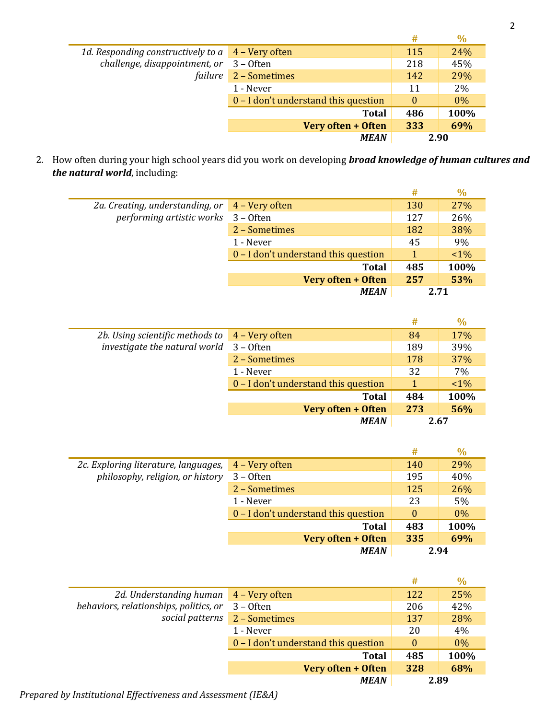|                                                          |                                      | #        | $\%$  |
|----------------------------------------------------------|--------------------------------------|----------|-------|
| 1d. Responding constructively to $a \mid 4$ – Very often |                                      | 115      | 24%   |
| challenge, disappointment, or                            | $3 -$ Often                          | 218      | 45%   |
| failure                                                  | 2 - Sometimes                        | 142      | 29%   |
|                                                          | 1 - Never                            | 11       | 2%    |
|                                                          | 0 – I don't understand this question | $\theta$ | $0\%$ |
|                                                          | <b>Total</b>                         | 486      | 100%  |
|                                                          | Very often + Often                   | 333      | 69%   |
|                                                          | <b>MEAN</b>                          | 2.90     |       |

2. How often during your high school years did you work on developing *broad knowledge of human cultures and the natural world*, including:

|                                 |                                      | #   | $\%$  |
|---------------------------------|--------------------------------------|-----|-------|
| 2a. Creating, understanding, or | 4 – Very often                       | 130 | 27%   |
| performing artistic works       | $3 -$ Often                          | 127 | 26%   |
|                                 | 2 – Sometimes                        | 182 | 38%   |
|                                 | 1 - Never                            | 45  | 9%    |
|                                 | 0 – I don't understand this question |     | $1\%$ |
|                                 | <b>Total</b>                         | 485 | 100%  |
|                                 | Very often + Often                   | 257 | 53%   |
|                                 | <b>MEAN</b>                          |     | 2.71  |

|                                 |                                        | #    | $\%$  |
|---------------------------------|----------------------------------------|------|-------|
| 2b. Using scientific methods to | 4 – Very often                         | 84   | 17%   |
| investigate the natural world   | $3 -$ Often                            | 189  | 39%   |
|                                 | 2 - Sometimes                          | 178  | 37%   |
|                                 | 1 - Never                              | 32   | 7%    |
|                                 | $0 - I$ don't understand this question |      | $1\%$ |
|                                 | <b>Total</b>                           | 484  | 100%  |
|                                 | Very often + Often                     | 273  | 56%   |
|                                 | <b>MEAN</b>                            | 2.67 |       |

|                                                                          |                                      | #        | $\%$  |
|--------------------------------------------------------------------------|--------------------------------------|----------|-------|
| 2c. Exploring literature, languages,<br>philosophy, religion, or history | 4 - Very often                       | 140      | 29%   |
|                                                                          | $3 -$ Often                          | 195      | 40%   |
|                                                                          | 2 - Sometimes                        | 125      | 26%   |
|                                                                          | 1 - Never                            | 23       | 5%    |
|                                                                          | 0 – I don't understand this question | $\theta$ | $0\%$ |
|                                                                          | <b>Total</b>                         | 483      | 100%  |
|                                                                          | Very often + Often                   | 335      | 69%   |
|                                                                          | <b>MEAN</b>                          |          | 2.94  |

|                                        |                                      | #        | $\%$  |
|----------------------------------------|--------------------------------------|----------|-------|
| 2d. Understanding human                | 4 – Very often                       | 122      | 25%   |
| behaviors, relationships, politics, or | $3 -$ Often                          | 206      | 42%   |
| social patterns                        | 2 - Sometimes                        | 137      | 28%   |
|                                        | 1 - Never                            | 20       | 4%    |
|                                        | 0 – I don't understand this question | $\Omega$ | $0\%$ |
|                                        | <b>Total</b>                         | 485      | 100%  |
|                                        | Very often + Often                   | 328      | 68%   |
|                                        | <b>MEAN</b>                          | 2.89     |       |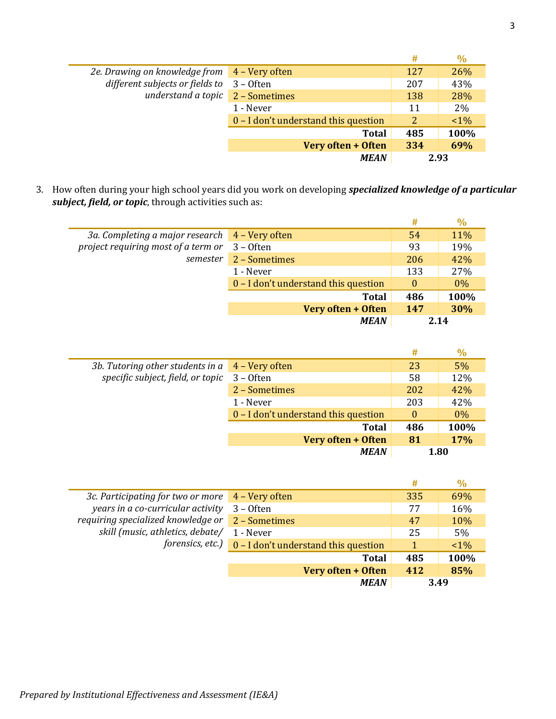|                                                                                 |                                      | #   | $\%$  |
|---------------------------------------------------------------------------------|--------------------------------------|-----|-------|
| 2e. Drawing on knowledge from 4 - Very often<br>different subjects or fields to |                                      | 127 | 26%   |
|                                                                                 | $3 -$ Often                          | 207 | 43%   |
| understand a topic                                                              | 2 - Sometimes                        | 138 | 28%   |
|                                                                                 | 1 - Never                            | 11  | 2%    |
|                                                                                 | 0 – I don't understand this question | 2   | $1\%$ |
|                                                                                 | <b>Total</b>                         | 485 | 100%  |
|                                                                                 | Very often + Often                   | 334 | 69%   |
|                                                                                 | <b>MEAN</b>                          |     | 2.93  |

3. How often during your high school years did you work on developing *specialized knowledge of a particular subject, field, or topic*, through activities such as:

|                                                |                                      | #              | $\%$  |
|------------------------------------------------|--------------------------------------|----------------|-------|
| 3a. Completing a major research 4 - Very often |                                      | 54             | 11%   |
| project requiring most of a term or            | $3 -$ Often                          | 93             | 19%   |
| semester                                       | 2 - Sometimes                        | 206            | 42%   |
|                                                | 1 - Never                            | 133            | 27%   |
|                                                | 0 – I don't understand this question | $\overline{0}$ | $0\%$ |
|                                                | <b>Total</b>                         | 486            | 100%  |
|                                                | Very often + Often                   | 147            | 30%   |
|                                                | <b>MEAN</b>                          |                | 2.14  |

|                                                      |                                      | #        | $\%$  |
|------------------------------------------------------|--------------------------------------|----------|-------|
| 3b. Tutoring other students in $a \, 4$ – Very often |                                      | 23       | 5%    |
| specific subject, field, or topic                    | $3 -$ Often                          | 58       | 12%   |
|                                                      | 2 - Sometimes                        | 202      | 42%   |
|                                                      | 1 - Never                            | 203      | 42%   |
|                                                      | 0 – I don't understand this question | $\theta$ | $0\%$ |
|                                                      | <b>Total</b>                         | 486      | 100%  |
|                                                      | Very often + Often                   | 81       | 17%   |
|                                                      | <b>MEAN</b>                          |          | 1.80  |

|                                    |                                      | #   | $\%$  |
|------------------------------------|--------------------------------------|-----|-------|
| 3c. Participating for two or more  | 4 – Very often                       | 335 | 69%   |
| years in a co-curricular activity  | $3 -$ Often                          | 77  | 16%   |
| requiring specialized knowledge or | 2 - Sometimes                        | 47  | 10%   |
| skill (music, athletics, debate/   | 1 - Never                            | 25  | $5\%$ |
| forensics, etc.)                   | 0 - I don't understand this question |     | $1\%$ |
|                                    | <b>Total</b>                         | 485 | 100%  |
|                                    | Very often + Often                   | 412 | 85%   |
|                                    | <b>MEAN</b>                          |     | 3.49  |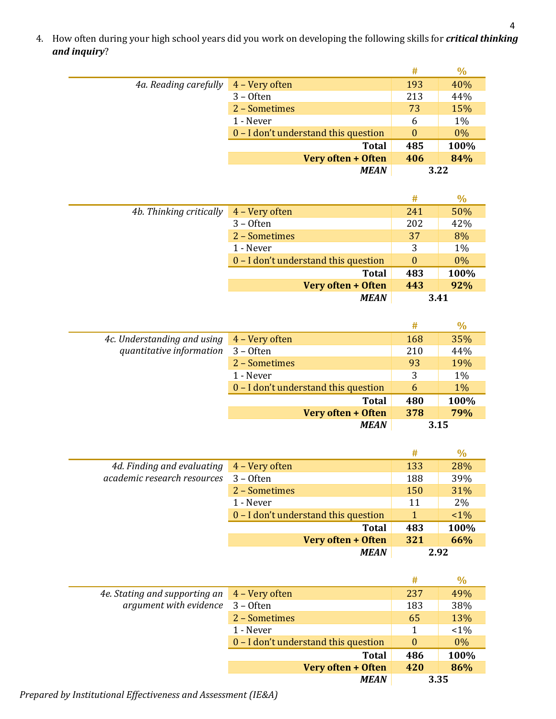4. How often during your high school years did you work on developing the following skills for *critical thinking and inquiry*?

|                       |                                        | #        | $\frac{0}{0}$ |
|-----------------------|----------------------------------------|----------|---------------|
| 4a. Reading carefully | 4 – Very often                         | 193      | 40%           |
|                       | $3 -$ Often                            | 213      | 44%           |
|                       | 2 - Sometimes                          | 73       | 15%           |
|                       | 1 - Never                              | 6        | 1%            |
|                       | $0 - I$ don't understand this question | $\theta$ | 0%            |
|                       | <b>Total</b>                           | 485      | 100%          |
|                       | Very often + Often                     | 406      | 84%           |
|                       | <b>MEAN</b>                            | 3.22     |               |

|                         |                                      | #        | $\%$  |
|-------------------------|--------------------------------------|----------|-------|
| 4b. Thinking critically | 4 - Very often                       | 241      | 50%   |
|                         | $3 -$ Often                          | 202      | 42%   |
|                         | 2 - Sometimes                        | 37       | 8%    |
|                         | 1 - Never                            | 3        | $1\%$ |
|                         | 0 – I don't understand this question | $\Omega$ | 0%    |
|                         | <b>Total</b>                         | 483      | 100%  |
|                         | Very often + Often                   | 443      | 92%   |
|                         | <b>MEAN</b>                          |          | 3.41  |

|                             |                                      | #   | $\%$  |
|-----------------------------|--------------------------------------|-----|-------|
| 4c. Understanding and using | 4 - Very often                       | 168 | 35%   |
| quantitative information    | $3 -$ Often                          | 210 | 44%   |
|                             | 2 - Sometimes                        | 93  | 19%   |
|                             | 1 - Never                            | 3   | 1%    |
|                             | 0 - I don't understand this question | 6   | $1\%$ |
|                             | <b>Total</b>                         | 480 | 100%  |
|                             | Very often + Often                   | 378 | 79%   |
|                             | <b>MEAN</b>                          |     | 3.15  |

|                             |                                      | #    | $\%$  |
|-----------------------------|--------------------------------------|------|-------|
| 4d. Finding and evaluating  | 4 – Very often                       | 133  | 28%   |
| academic research resources | $3 -$ Often                          | 188  | 39%   |
|                             | 2 - Sometimes                        | 150  | 31%   |
|                             | 1 - Never                            | 11   | 2%    |
|                             | 0 – I don't understand this question | 1    | $1\%$ |
|                             | <b>Total</b>                         | 483  | 100%  |
|                             | Very often + Often                   | 321  | 66%   |
|                             | <b>MEAN</b>                          | 2.92 |       |

|                               |                                        | #              | $\%$  |
|-------------------------------|----------------------------------------|----------------|-------|
| 4e. Stating and supporting an | 4 - Very often                         | 237            | 49%   |
| argument with evidence        | $3 -$ Often                            | 183            | 38%   |
|                               | 2 - Sometimes                          | 65             | 13%   |
|                               | 1 - Never                              | 1              | $1\%$ |
|                               | $0 - I$ don't understand this question | $\overline{0}$ | $0\%$ |
|                               | <b>Total</b>                           | 486            | 100%  |
|                               | Very often + Often                     | 420            | 86%   |
|                               | <b>MEAN</b>                            |                | 3.35  |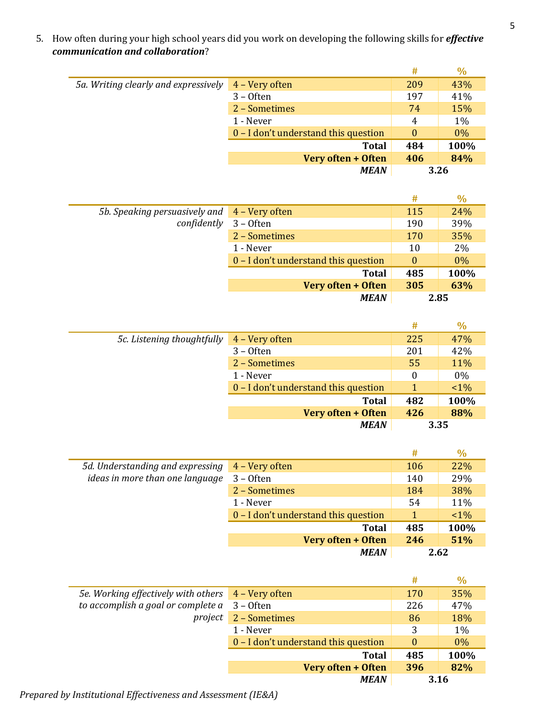5. How often during your high school years did you work on developing the following skills for *effective communication and collaboration*?

|                                      |                                      | #        | $\%$  |
|--------------------------------------|--------------------------------------|----------|-------|
| 5a. Writing clearly and expressively | 4 - Very often                       | 209      | 43%   |
|                                      | $3 -$ Often                          | 197      | 41%   |
|                                      | 2 - Sometimes                        | 74       | 15%   |
|                                      | 1 - Never                            | 4        | 1%    |
|                                      | 0 - I don't understand this question | $\theta$ | $0\%$ |
|                                      | <b>Total</b>                         | 484      | 100%  |
|                                      | Very often + Often                   | 406      | 84%   |
|                                      | <b>MEAN</b>                          |          | 3.26  |

|                                              |                                      | #        | $\%$ |
|----------------------------------------------|--------------------------------------|----------|------|
| 5b. Speaking persuasively and 4 – Very often |                                      | 115      | 24%  |
| confidently                                  | $3 -$ Often                          | 190      | 39%  |
|                                              | 2 - Sometimes                        | 170      | 35%  |
|                                              | 1 - Never                            | 10       | 2%   |
|                                              | 0 - I don't understand this question | $\theta$ | 0%   |
|                                              | <b>Total</b>                         | 485      | 100% |
|                                              | Very often + Often                   | 305      | 63%  |
|                                              | <b>MEAN</b>                          | 2.85     |      |

|                            |                                      | #   | $\%$  |
|----------------------------|--------------------------------------|-----|-------|
| 5c. Listening thoughtfully | 4 - Very often                       | 225 | 47%   |
|                            | $3 -$ Often                          | 201 | 42%   |
|                            | 2 - Sometimes                        | 55  | 11%   |
|                            | 1 - Never                            | 0   | $0\%$ |
|                            | 0 – I don't understand this question |     | $1\%$ |
|                            | <b>Total</b>                         | 482 | 100%  |
|                            | Very often + Often                   | 426 | 88%   |
|                            | <b>MEAN</b>                          |     | 3.35  |

|                                  |                                      | #   | $\%$  |
|----------------------------------|--------------------------------------|-----|-------|
| 5d. Understanding and expressing | 4 - Very often                       | 106 | 22%   |
| ideas in more than one language  | $3 -$ Often                          | 140 | 29%   |
|                                  | 2 - Sometimes                        | 184 | 38%   |
|                                  | 1 - Never                            | 54  | 11%   |
|                                  | 0 – I don't understand this question |     | $1\%$ |
|                                  | <b>Total</b>                         | 485 | 100%  |
|                                  | Very often + Often                   | 246 | 51%   |
|                                  | <b>MEAN</b>                          |     | 2.62  |

|                                                      |                                      | #        | $\%$  |
|------------------------------------------------------|--------------------------------------|----------|-------|
| 5e. Working effectively with others 4 - Very often   |                                      | 170      | 35%   |
| to accomplish a goal or complete $a \quad 3$ – Often |                                      | 226      | 47%   |
| project                                              | 2 - Sometimes                        | 86       | 18%   |
|                                                      | 1 - Never                            | 3        | 1%    |
|                                                      | 0 – I don't understand this question | $\theta$ | $0\%$ |
|                                                      | <b>Total</b>                         | 485      | 100%  |
|                                                      | Very often + Often                   | 396      | 82%   |
|                                                      | <b>MEAN</b>                          |          | 3.16  |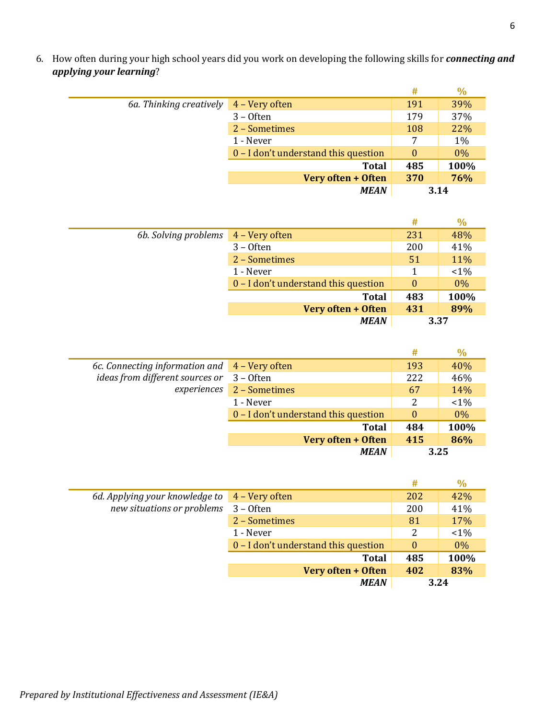**# %** *6a. Thinking creatively*  $4 - \text{Very often}$  191 39% 3 – Often 179 37% 2 – Sometimes 108 22% 1 - Never 7 1% 0 – I don't understand this question 0 0% **Total 485 100% Very often + Often 370 76%**

|                      |                                      | #        | $\%$    |
|----------------------|--------------------------------------|----------|---------|
| 6b. Solving problems | 4 - Very often                       | 231      | 48%     |
|                      | $3 -$ Often                          | 200      | 41%     |
|                      | 2 - Sometimes                        | 51       | 11%     |
|                      | 1 - Never                            | 1        | $< 1\%$ |
|                      | 0 – I don't understand this question | $\theta$ | 0%      |
|                      | <b>Total</b>                         | 483      | 100%    |
|                      | Very often + Often                   | 431      | 89%     |
|                      | <b>MEAN</b>                          |          | 3.37    |

|                                                            |                                      | #        | $\%$    |
|------------------------------------------------------------|--------------------------------------|----------|---------|
| 6c. Connecting information and $\overline{4}$ – Very often |                                      | 193      | 40%     |
| ideas from different sources or                            | $3 -$ Often                          | 222      | 46%     |
| experiences                                                | 2 - Sometimes                        | 67       | 14%     |
|                                                            | 1 - Never                            | 2        | $< 1\%$ |
|                                                            | 0 – I don't understand this question | $\theta$ | $0\%$   |
|                                                            | <b>Total</b>                         | 484      | 100%    |
|                                                            | Very often + Often                   | 415      | 86%     |
|                                                            | <b>MEAN</b>                          |          | 3.25    |

|                                |                                        | #        | $\%$  |
|--------------------------------|----------------------------------------|----------|-------|
| 6d. Applying your knowledge to | 4 – Very often                         | 202      | 42%   |
| new situations or problems     | $3 -$ Often                            | 200      | 41%   |
|                                | 2 - Sometimes                          | 81       | 17%   |
|                                | 1 - Never                              | 2        | $1\%$ |
|                                | $0 - I$ don't understand this question | $\Omega$ | $0\%$ |
|                                | <b>Total</b>                           | 485      | 100%  |
|                                | Very often + Often                     | 402      | 83%   |
|                                | <b>MEAN</b>                            |          | 3.24  |

6. How often during your high school years did you work on developing the following skills for *connecting and applying your learning*?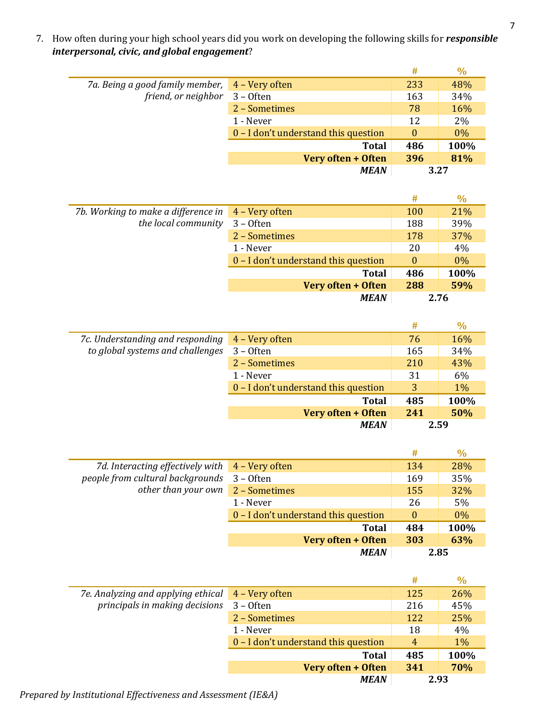7. How often during your high school years did you work on developing the following skills for *responsible interpersonal, civic, and global engagement*?

|                                 |                                      | #        | $\%$  |
|---------------------------------|--------------------------------------|----------|-------|
| 7a. Being a good family member, | 4 – Very often                       | 233      | 48%   |
| friend, or neighbor 3 - Often   |                                      | 163      | 34%   |
|                                 | 2 - Sometimes                        | 78       | 16%   |
|                                 | 1 - Never                            | 12       | 2%    |
|                                 | 0 – I don't understand this question | $\Omega$ | $0\%$ |
|                                 | <b>Total</b>                         | 486      | 100%  |
|                                 | Very often + Often                   | 396      | 81%   |
|                                 | <b>MEAN</b>                          | 3.27     |       |

|                                     |                                        | #        | $\%$  |
|-------------------------------------|----------------------------------------|----------|-------|
| 7b. Working to make a difference in | 4 – Very often                         | 100      | 21%   |
| the local community                 | $3 -$ Often                            | 188      | 39%   |
|                                     | 2 - Sometimes                          | 178      | 37%   |
|                                     | 1 - Never                              | 20       | 4%    |
|                                     | $0 - I$ don't understand this question | $\theta$ | $0\%$ |
|                                     | <b>Total</b>                           | 486      | 100%  |
|                                     | Very often + Often                     | 288      | 59%   |
|                                     | <b>MEAN</b>                            |          | 2.76  |

|                                  |                                      | #   | $\frac{0}{0}$ |
|----------------------------------|--------------------------------------|-----|---------------|
| 7c. Understanding and responding | 4 – Very often                       | 76  | 16%           |
| to global systems and challenges | $3 -$ Often                          | 165 | 34%           |
|                                  | 2 - Sometimes                        | 210 | 43%           |
|                                  | 1 - Never                            | 31  | 6%            |
|                                  | 0 – I don't understand this question | 3   | $1\%$         |
|                                  | <b>Total</b>                         | 485 | 100%          |
|                                  | Very often + Often                   | 241 | 50%           |
|                                  | <b>MEAN</b>                          |     | 2.59          |

|                                                              |                                      | #        | $\%$  |
|--------------------------------------------------------------|--------------------------------------|----------|-------|
| 7d. Interacting effectively with $\overline{4}$ – Very often |                                      | 134      | 28%   |
| people from cultural backgrounds                             | $3 -$ Often                          | 169      | 35%   |
| other than your own                                          | 2 - Sometimes                        | 155      | 32%   |
|                                                              | 1 - Never                            | 26       | 5%    |
|                                                              | 0 – I don't understand this question | $\theta$ | $0\%$ |
|                                                              | <b>Total</b>                         | 484      | 100%  |
|                                                              | Very often + Often                   | 303      | 63%   |
|                                                              | <b>MEAN</b>                          |          | 2.85  |

|                                    |                                      | #   | $\frac{0}{0}$ |
|------------------------------------|--------------------------------------|-----|---------------|
| 7e. Analyzing and applying ethical | 4 – Very often                       | 125 | 26%           |
| principals in making decisions     | $3 -$ Often                          | 216 | 45%           |
|                                    | 2 - Sometimes                        | 122 | 25%           |
|                                    | 1 - Never                            | 18  | 4%            |
|                                    | 0 – I don't understand this question | 4   | $1\%$         |
|                                    | <b>Total</b>                         | 485 | 100%          |
|                                    | Very often + Often                   | 341 | <b>70%</b>    |
|                                    | <b>MEAN</b>                          |     | 2.93          |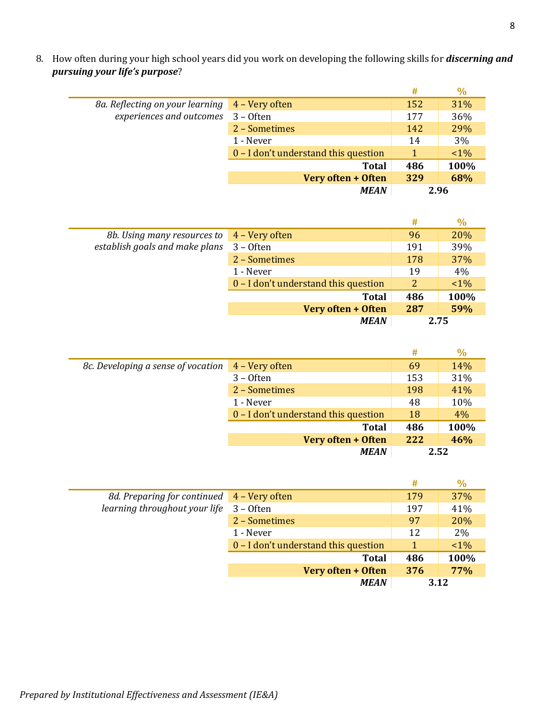8. How often during your high school years did you work on developing the following skills for *discerning and pursuing your life's purpose*?

|                                 |                                      | #    | $\frac{0}{0}$ |
|---------------------------------|--------------------------------------|------|---------------|
| 8a. Reflecting on your learning | 4 – Very often                       | 152  | 31%           |
| experiences and outcomes        | $3 -$ Often                          | 177  | 36%           |
|                                 | 2 - Sometimes                        | 142  | 29%           |
|                                 | 1 - Never                            | 14   | 3%            |
|                                 | 0 – I don't understand this question | 1    | $1\%$         |
|                                 | <b>Total</b>                         | 486  | 100%          |
|                                 | Very often + Often                   | 329  | 68%           |
|                                 | <b>MEAN</b>                          | 2.96 |               |

|                                |                                      | #    | $\%$  |
|--------------------------------|--------------------------------------|------|-------|
| 8b. Using many resources to    | 4 - Very often                       | 96   | 20%   |
| establish goals and make plans | $3 -$ Often                          | 191  | 39%   |
|                                | 2 - Sometimes                        | 178  | 37%   |
|                                | 1 - Never                            | 19   | 4%    |
|                                | 0 – I don't understand this question | 2    | $1\%$ |
|                                | <b>Total</b>                         | 486  | 100%  |
|                                | Very often + Often                   | 287  | 59%   |
|                                | <b>MEAN</b>                          | 2.75 |       |

|                                    |                                      | #   | $\%$ |
|------------------------------------|--------------------------------------|-----|------|
| 8c. Developing a sense of vocation | 4 – Very often                       | 69  | 14%  |
|                                    | $3 -$ Often                          | 153 | 31%  |
|                                    | 2 - Sometimes                        | 198 | 41%  |
|                                    | 1 - Never                            | 48  | 10%  |
|                                    | 0 – I don't understand this question | 18  | 4%   |
|                                    | <b>Total</b>                         | 486 | 100% |
|                                    | Very often + Often                   | 222 | 46%  |
|                                    | <b>MEAN</b>                          |     | 2.52 |

|                                            |                                      | #   | $\%$  |
|--------------------------------------------|--------------------------------------|-----|-------|
| 8d. Preparing for continued 4 – Very often |                                      | 179 | 37%   |
| learning throughout your life              | $3 -$ Often                          | 197 | 41%   |
|                                            | 2 - Sometimes                        | 97  | 20%   |
|                                            | 1 - Never                            | 12  | 2%    |
|                                            | 0 – I don't understand this question | 1   | $1\%$ |
|                                            | <b>Total</b>                         | 486 | 100%  |
|                                            | Very often + Often                   | 376 | 77%   |
|                                            | <b>MEAN</b>                          |     | 3.12  |